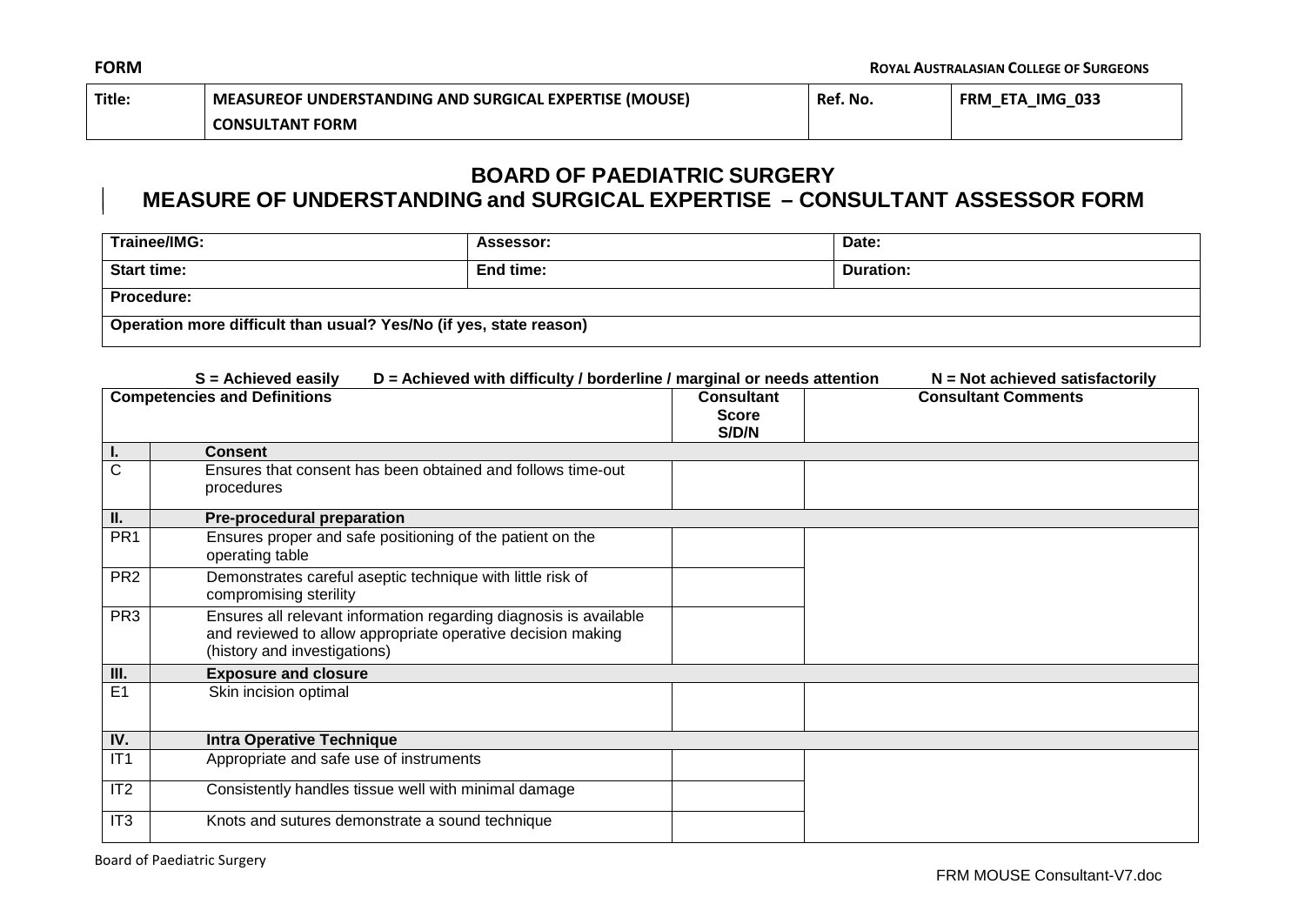| Title: | MEASUREOF UNDERSTANDING AND SURGICAL EXPERTISE (MOUSE) | Ref. No. | FRM ETA IMG 033 |
|--------|--------------------------------------------------------|----------|-----------------|
|        | <b>CONSULTANT FORM</b>                                 |          |                 |

## **BOARD OF PAEDIATRIC SURGERY**

## **MEASURE OF UNDERSTANDING and SURGICAL EXPERTISE – CONSULTANT ASSESSOR FORM**

| Trainee/IMG:                                                       | Assessor: | Date:     |
|--------------------------------------------------------------------|-----------|-----------|
| Start time:                                                        | End time: | Duration: |
| <b>Procedure:</b>                                                  |           |           |
| Operation more difficult than usual? Yes/No (if yes, state reason) |           |           |

|                                     | D = Achieved with difficulty / borderline / marginal or needs attention<br>$S =$ Achieved easily                                                                 |                                            | $N = Not$ achieved satisfactorily |  |
|-------------------------------------|------------------------------------------------------------------------------------------------------------------------------------------------------------------|--------------------------------------------|-----------------------------------|--|
| <b>Competencies and Definitions</b> |                                                                                                                                                                  | <b>Consultant</b><br><b>Score</b><br>S/D/N | <b>Consultant Comments</b>        |  |
| ъ.                                  | <b>Consent</b>                                                                                                                                                   |                                            |                                   |  |
| C                                   | Ensures that consent has been obtained and follows time-out<br>procedures                                                                                        |                                            |                                   |  |
| Н.                                  | Pre-procedural preparation                                                                                                                                       |                                            |                                   |  |
| PR <sub>1</sub>                     | Ensures proper and safe positioning of the patient on the<br>operating table                                                                                     |                                            |                                   |  |
| PR <sub>2</sub>                     | Demonstrates careful aseptic technique with little risk of<br>compromising sterility                                                                             |                                            |                                   |  |
| PR <sub>3</sub>                     | Ensures all relevant information regarding diagnosis is available<br>and reviewed to allow appropriate operative decision making<br>(history and investigations) |                                            |                                   |  |
| III.                                | <b>Exposure and closure</b>                                                                                                                                      |                                            |                                   |  |
| E <sub>1</sub>                      | Skin incision optimal                                                                                                                                            |                                            |                                   |  |
| IV.                                 | <b>Intra Operative Technique</b>                                                                                                                                 |                                            |                                   |  |
| IT1                                 | Appropriate and safe use of instruments                                                                                                                          |                                            |                                   |  |
| IT <sub>2</sub>                     | Consistently handles tissue well with minimal damage                                                                                                             |                                            |                                   |  |
| IT <sub>3</sub>                     | Knots and sutures demonstrate a sound technique                                                                                                                  |                                            |                                   |  |